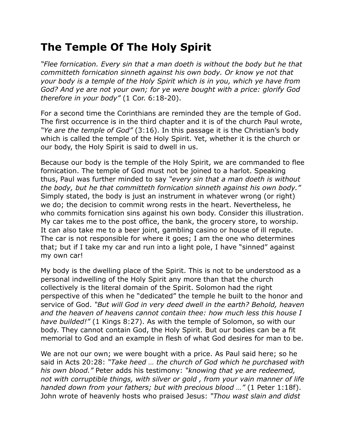## **The Temple Of The Holy Spirit**

*"Flee fornication. Every sin that a man doeth is without the body but he that committeth fornication sinneth against his own body. Or know ye not that your body is a temple of the Holy Spirit which is in you, which ye have from God? And ye are not your own; for ye were bought with a price: glorify God therefore in your body"* (1 Cor. 6:18-20).

For a second time the Corinthians are reminded they are the temple of God. The first occurrence is in the third chapter and it is of the church Paul wrote, *"Ye are the temple of God"* (3:16). In this passage it is the Christian's body which is called the temple of the Holy Spirit. Yet, whether it is the church or our body, the Holy Spirit is said to dwell in us.

Because our body is the temple of the Holy Spirit, we are commanded to flee fornication. The temple of God must not be joined to a harlot. Speaking thus, Paul was further minded to say *"every sin that a man doeth is without the body, but he that committeth fornication sinneth against his own body."* Simply stated, the body is just an instrument in whatever wrong (or right) we do; the decision to commit wrong rests in the heart. Nevertheless, he who commits fornication sins against his own body. Consider this illustration. My car takes me to the post office, the bank, the grocery store, to worship. It can also take me to a beer joint, gambling casino or house of ill repute. The car is not responsible for where it goes; I am the one who determines that; but if I take my car and run into a light pole, I have "sinned" against my own car!

My body is the dwelling place of the Spirit. This is not to be understood as a personal indwelling of the Holy Spirit any more than that the church collectively is the literal domain of the Spirit. Solomon had the right perspective of this when he "dedicated" the temple he built to the honor and service of God. *"But will God in very deed dwell in the earth? Behold, heaven and the heaven of heavens cannot contain thee: how much less this house I have builded!"* (1 Kings 8:27). As with the temple of Solomon, so with our body. They cannot contain God, the Holy Spirit. But our bodies can be a fit memorial to God and an example in flesh of what God desires for man to be.

We are not our own; we were bought with a price. As Paul said here; so he said in Acts 20:28: *"Take heed … the church of God which he purchased with his own blood."* Peter adds his testimony: *"knowing that ye are redeemed, not with corruptible things, with silver or gold , from your vain manner of life handed down from your fathers; but with precious blood …"* (1 Peter 1:18f). John wrote of heavenly hosts who praised Jesus: *"Thou wast slain and didst*